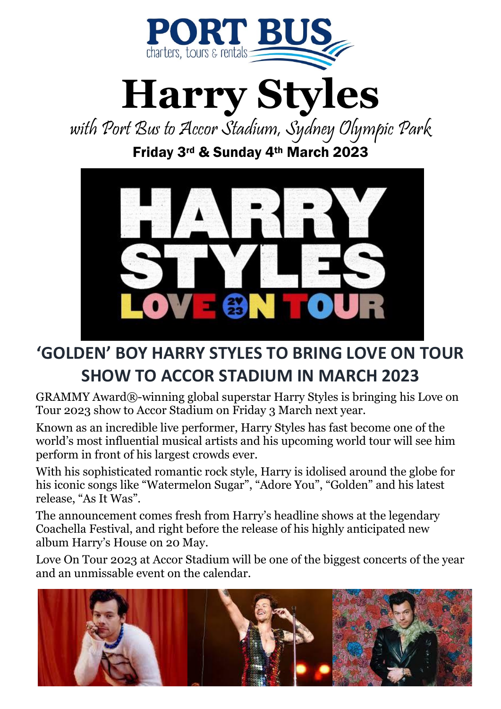



with Port Bus to Accor Stadium, Sydney Olympic Park Friday 3rd & Sunday 4th March 2023



## **'GOLDEN' BOY HARRY STYLES TO BRING LOVE ON TOUR SHOW TO ACCOR STADIUM IN MARCH 2023**

GRAMMY Award®-winning global superstar Harry Styles is bringing his Love on Tour 2023 show to Accor Stadium on Friday 3 March next year.

Known as an incredible live performer, Harry Styles has fast become one of the world's most influential musical artists and his upcoming world tour will see him perform in front of his largest crowds ever.

With his sophisticated romantic rock style, Harry is idolised around the globe for his iconic songs like "Watermelon Sugar", "Adore You", "Golden" and his latest release, "As It Was".

The announcement comes fresh from Harry's headline shows at the legendary Coachella Festival, and right before the release of his highly anticipated new album Harry's House on 20 May.

Love On Tour 2023 at Accor Stadium will be one of the biggest concerts of the year and an unmissable event on the calendar.